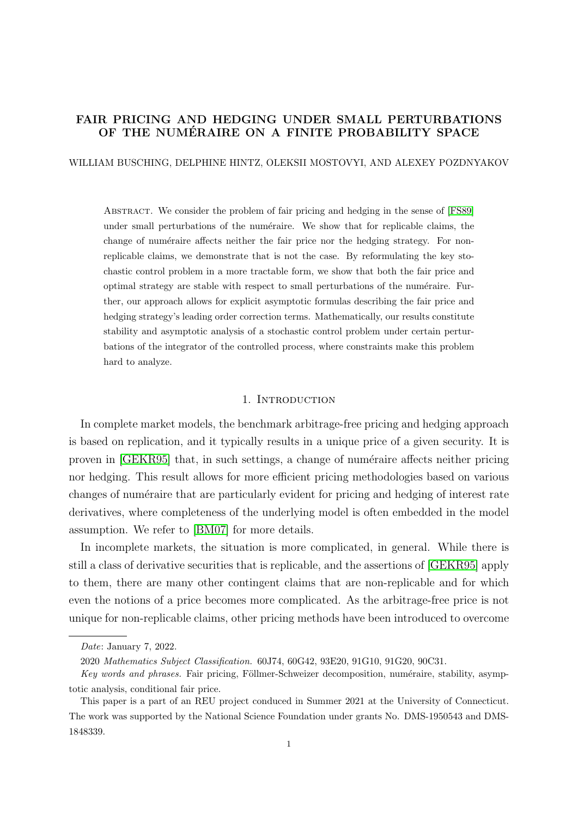# FAIR PRICING AND HEDGING UNDER SMALL PERTURBATIONS OF THE NUMÉRAIRE ON A FINITE PROBABILITY SPACE

WILLIAM BUSCHING, DELPHINE HINTZ, OLEKSII MOSTOVYI, AND ALEXEY POZDNYAKOV

Abstract. We consider the problem of fair pricing and hedging in the sense of [\[FS89\]](#page-18-0) under small perturbations of the numéraire. We show that for replicable claims, the change of numéraire affects neither the fair price nor the hedging strategy. For nonreplicable claims, we demonstrate that is not the case. By reformulating the key stochastic control problem in a more tractable form, we show that both the fair price and optimal strategy are stable with respect to small perturbations of the numéraire. Further, our approach allows for explicit asymptotic formulas describing the fair price and hedging strategy's leading order correction terms. Mathematically, our results constitute stability and asymptotic analysis of a stochastic control problem under certain perturbations of the integrator of the controlled process, where constraints make this problem hard to analyze.

## 1. INTRODUCTION

In complete market models, the benchmark arbitrage-free pricing and hedging approach is based on replication, and it typically results in a unique price of a given security. It is proven in [\[GEKR95\]](#page-19-0) that, in such settings, a change of numéraire affects neither pricing nor hedging. This result allows for more efficient pricing methodologies based on various changes of numéraire that are particularly evident for pricing and hedging of interest rate derivatives, where completeness of the underlying model is often embedded in the model assumption. We refer to [\[BM07\]](#page-18-1) for more details.

In incomplete markets, the situation is more complicated, in general. While there is still a class of derivative securities that is replicable, and the assertions of [\[GEKR95\]](#page-19-0) apply to them, there are many other contingent claims that are non-replicable and for which even the notions of a price becomes more complicated. As the arbitrage-free price is not unique for non-replicable claims, other pricing methods have been introduced to overcome

Date: January 7, 2022.

<sup>2020</sup> Mathematics Subject Classification. 60J74, 60G42, 93E20, 91G10, 91G20, 90C31.

Key words and phrases. Fair pricing, Föllmer-Schweizer decomposition, numéraire, stability, asymptotic analysis, conditional fair price.

This paper is a part of an REU project conduced in Summer 2021 at the University of Connecticut. The work was supported by the National Science Foundation under grants No. DMS-1950543 and DMS-1848339.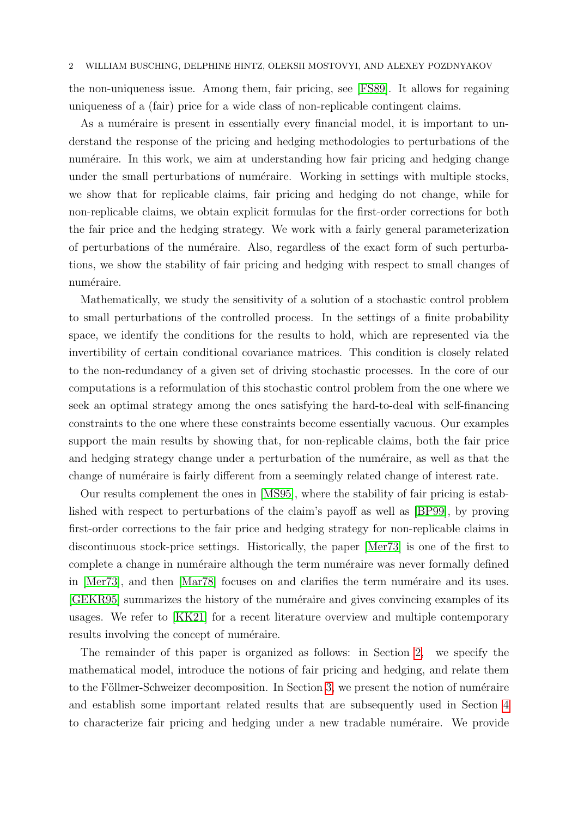the non-uniqueness issue. Among them, fair pricing, see [\[FS89\]](#page-18-0). It allows for regaining uniqueness of a (fair) price for a wide class of non-replicable contingent claims.

As a numéraire is present in essentially every financial model, it is important to understand the response of the pricing and hedging methodologies to perturbations of the numéraire. In this work, we aim at understanding how fair pricing and hedging change under the small perturbations of numéraire. Working in settings with multiple stocks, we show that for replicable claims, fair pricing and hedging do not change, while for non-replicable claims, we obtain explicit formulas for the first-order corrections for both the fair price and the hedging strategy. We work with a fairly general parameterization of perturbations of the num´eraire. Also, regardless of the exact form of such perturbations, we show the stability of fair pricing and hedging with respect to small changes of numéraire.

Mathematically, we study the sensitivity of a solution of a stochastic control problem to small perturbations of the controlled process. In the settings of a finite probability space, we identify the conditions for the results to hold, which are represented via the invertibility of certain conditional covariance matrices. This condition is closely related to the non-redundancy of a given set of driving stochastic processes. In the core of our computations is a reformulation of this stochastic control problem from the one where we seek an optimal strategy among the ones satisfying the hard-to-deal with self-financing constraints to the one where these constraints become essentially vacuous. Our examples support the main results by showing that, for non-replicable claims, both the fair price and hedging strategy change under a perturbation of the numéraire, as well as that the change of numéraire is fairly different from a seemingly related change of interest rate.

Our results complement the ones in [\[MS95\]](#page-19-1), where the stability of fair pricing is established with respect to perturbations of the claim's payoff as well as [\[BP99\]](#page-18-2), by proving first-order corrections to the fair price and hedging strategy for non-replicable claims in discontinuous stock-price settings. Historically, the paper [\[Mer73\]](#page-19-2) is one of the first to complete a change in numéraire although the term numéraire was never formally defined in  $[Mer73]$ , and then  $[Mar78]$  focuses on and clarifies the term numéraire and its uses. [\[GEKR95\]](#page-19-0) summarizes the history of the numéraire and gives convincing examples of its usages. We refer to [\[KK21\]](#page-19-4) for a recent literature overview and multiple contemporary results involving the concept of numéraire.

The remainder of this paper is organized as follows: in Section [2,](#page-2-0) we specify the mathematical model, introduce the notions of fair pricing and hedging, and relate them to the Föllmer-Schweizer decomposition. In Section [3,](#page-4-0) we present the notion of numéraire and establish some important related results that are subsequently used in Section [4](#page-6-0) to characterize fair pricing and hedging under a new tradable numéraire. We provide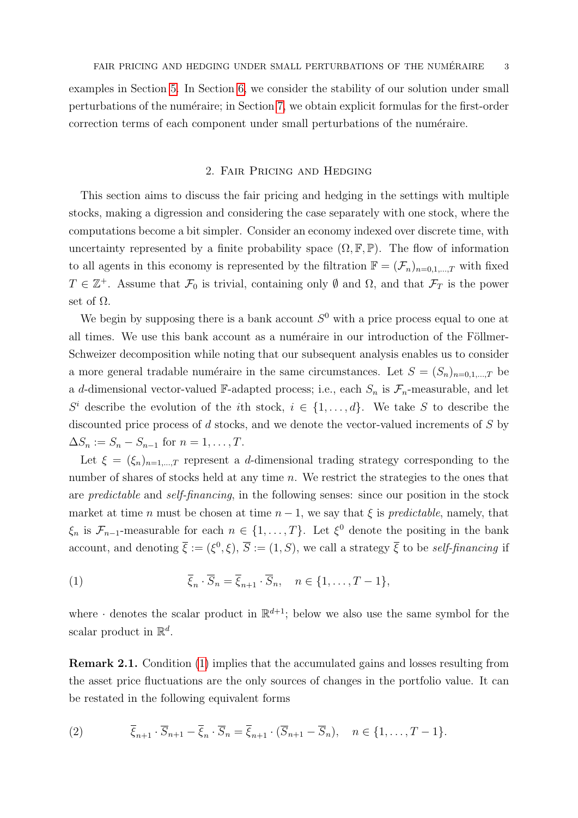examples in Section [5.](#page-11-0) In Section [6,](#page-13-0) we consider the stability of our solution under small perturbations of the numéraire; in Section [7,](#page-16-0) we obtain explicit formulas for the first-order correction terms of each component under small perturbations of the numéraire.

## 2. Fair Pricing and Hedging

<span id="page-2-0"></span>This section aims to discuss the fair pricing and hedging in the settings with multiple stocks, making a digression and considering the case separately with one stock, where the computations become a bit simpler. Consider an economy indexed over discrete time, with uncertainty represented by a finite probability space  $(\Omega, \mathbb{F}, \mathbb{P})$ . The flow of information to all agents in this economy is represented by the filtration  $\mathbb{F} = (\mathcal{F}_n)_{n=0,1,\dots,T}$  with fixed  $T \in \mathbb{Z}^+$ . Assume that  $\mathcal{F}_0$  is trivial, containing only  $\emptyset$  and  $\Omega$ , and that  $\mathcal{F}_T$  is the power set of  $\Omega$ .

We begin by supposing there is a bank account  $S^0$  with a price process equal to one at all times. We use this bank account as a numéraire in our introduction of the Föllmer-Schweizer decomposition while noting that our subsequent analysis enables us to consider a more general tradable numéraire in the same circumstances. Let  $S = (S_n)_{n=0,1,\dots,T}$  be a d-dimensional vector-valued F-adapted process; i.e., each  $S_n$  is  $\mathcal{F}_n$ -measurable, and let  $S^i$  describe the evolution of the *i*th stock,  $i \in \{1, \ldots, d\}$ . We take S to describe the discounted price process of d stocks, and we denote the vector-valued increments of S by  $\Delta S_n := S_n - S_{n-1}$  for  $n = 1, ..., T$ .

Let  $\xi = (\xi_n)_{n=1,\dots,T}$  represent a d-dimensional trading strategy corresponding to the number of shares of stocks held at any time n. We restrict the strategies to the ones that are predictable and self-financing, in the following senses: since our position in the stock market at time n must be chosen at time  $n-1$ , we say that  $\xi$  is predictable, namely, that  $\xi_n$  is  $\mathcal{F}_{n-1}$ -measurable for each  $n \in \{1, ..., T\}$ . Let  $\xi^0$  denote the positing in the bank account, and denoting  $\bar{\xi} := (\xi^0, \xi), \bar{S} := (1, S)$ , we call a strategy  $\bar{\xi}$  to be self-financing if

<span id="page-2-1"></span>(1) 
$$
\overline{\xi}_n \cdot \overline{S}_n = \overline{\xi}_{n+1} \cdot \overline{S}_n, \quad n \in \{1, \dots, T-1\},
$$

where  $\cdot$  denotes the scalar product in  $\mathbb{R}^{d+1}$ ; below we also use the same symbol for the scalar product in  $\mathbb{R}^d$ .

<span id="page-2-3"></span>Remark 2.1. Condition [\(1\)](#page-2-1) implies that the accumulated gains and losses resulting from the asset price fluctuations are the only sources of changes in the portfolio value. It can be restated in the following equivalent forms

<span id="page-2-2"></span>(2) 
$$
\overline{\xi}_{n+1} \cdot \overline{S}_{n+1} - \overline{\xi}_n \cdot \overline{S}_n = \overline{\xi}_{n+1} \cdot (\overline{S}_{n+1} - \overline{S}_n), \quad n \in \{1, \ldots, T-1\}.
$$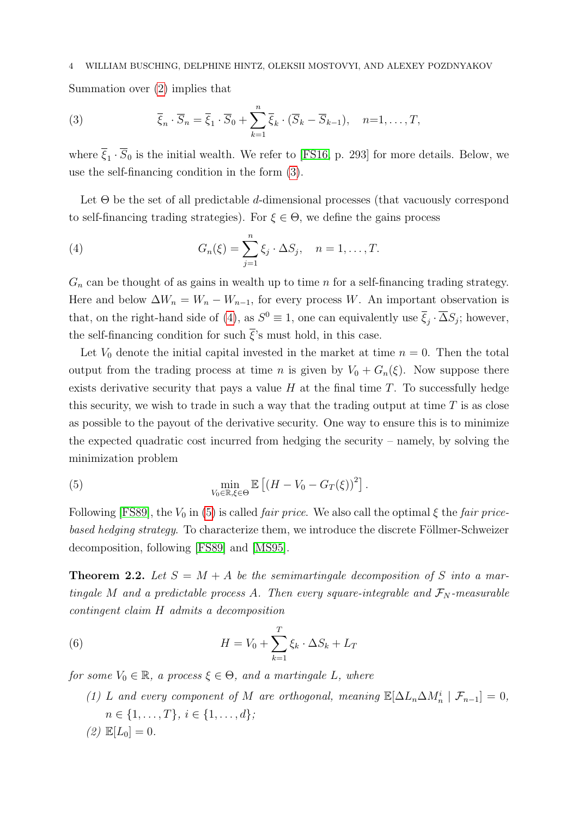Summation over [\(2\)](#page-2-2) implies that

<span id="page-3-0"></span>(3) 
$$
\overline{\xi}_n \cdot \overline{S}_n = \overline{\xi}_1 \cdot \overline{S}_0 + \sum_{k=1}^n \overline{\xi}_k \cdot (\overline{S}_k - \overline{S}_{k-1}), \quad n=1,\ldots,T,
$$

where  $\xi_1 \cdot S_0$  is the initial wealth. We refer to [\[FS16,](#page-18-3) p. 293] for more details. Below, we use the self-financing condition in the form [\(3\)](#page-3-0).

Let  $\Theta$  be the set of all predictable d-dimensional processes (that vacuously correspond to self-financing trading strategies). For  $\xi \in \Theta$ , we define the gains process

<span id="page-3-1"></span>(4) 
$$
G_n(\xi) = \sum_{j=1}^n \xi_j \cdot \Delta S_j, \quad n = 1, ..., T.
$$

 $G_n$  can be thought of as gains in wealth up to time n for a self-financing trading strategy. Here and below  $\Delta W_n = W_n - W_{n-1}$ , for every process W. An important observation is that, on the right-hand side of [\(4\)](#page-3-1), as  $S^0 \equiv 1$ , one can equivalently use  $\overline{\xi}_j \cdot \overline{\Delta} S_j$ ; however, the self-financing condition for such  $\bar{\xi}$ 's must hold, in this case.

Let  $V_0$  denote the initial capital invested in the market at time  $n = 0$ . Then the total output from the trading process at time n is given by  $V_0 + G_n(\xi)$ . Now suppose there exists derivative security that pays a value  $H$  at the final time  $T$ . To successfully hedge this security, we wish to trade in such a way that the trading output at time  $T$  is as close as possible to the payout of the derivative security. One way to ensure this is to minimize the expected quadratic cost incurred from hedging the security – namely, by solving the minimization problem

<span id="page-3-2"></span>(5) 
$$
\min_{V_0 \in \mathbb{R}, \xi \in \Theta} \mathbb{E} \left[ \left( H - V_0 - G_T(\xi) \right)^2 \right].
$$

Following [\[FS89\]](#page-18-0), the  $V_0$  in [\(5\)](#page-3-2) is called *fair price*. We also call the optimal  $\xi$  the *fair price*based hedging strategy. To characterize them, we introduce the discrete Föllmer-Schweizer decomposition, following [\[FS89\]](#page-18-0) and [\[MS95\]](#page-19-1).

<span id="page-3-4"></span>**Theorem 2.2.** Let  $S = M + A$  be the semimartingale decomposition of S into a martingale M and a predictable process A. Then every square-integrable and  $\mathcal{F}_N$ -measurable contingent claim H admits a decomposition

(6) 
$$
H = V_0 + \sum_{k=1}^{T} \xi_k \cdot \Delta S_k + L_T
$$

for some  $V_0 \in \mathbb{R}$ , a process  $\xi \in \Theta$ , and a martingale L, where

<span id="page-3-3"></span>(1) L and every component of M are orthogonal, meaning  $\mathbb{E}[\Delta L_n \Delta M_n^i \mid \mathcal{F}_{n-1}] = 0$ ,  $n \in \{1, \ldots, T\}, i \in \{1, \ldots, d\};$ (2)  $\mathbb{E}[L_0] = 0.$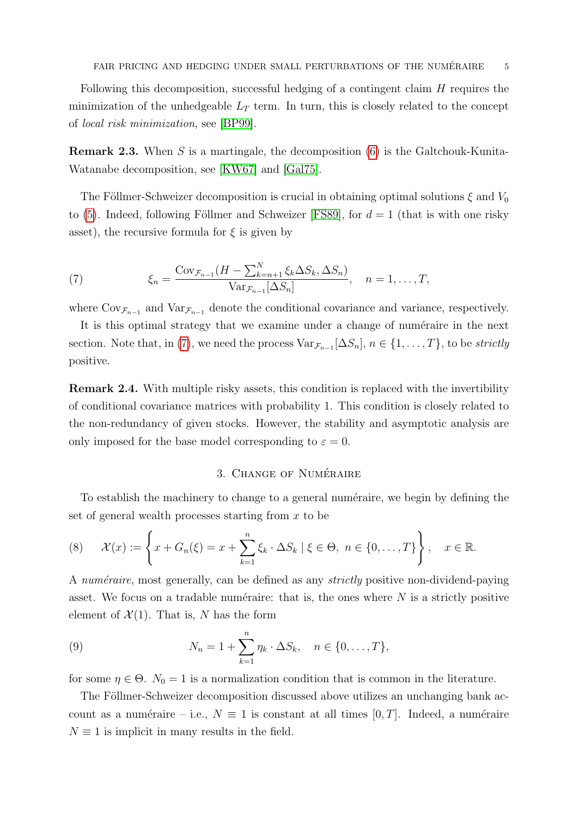Following this decomposition, successful hedging of a contingent claim  $H$  requires the minimization of the unhedgeable  $L_T$  term. In turn, this is closely related to the concept of local risk minimization, see [\[BP99\]](#page-18-2).

**Remark 2.3.** When S is a martingale, the decomposition  $(6)$  is the Galtchouk-Kunita-Watanabe decomposition, see [\[KW67\]](#page-19-5) and [\[Gal75\]](#page-18-4).

The Föllmer-Schweizer decomposition is crucial in obtaining optimal solutions  $\xi$  and  $V_0$ to [\(5\)](#page-3-2). Indeed, following Föllmer and Schweizer [\[FS89\]](#page-18-0), for  $d = 1$  (that is with one risky asset), the recursive formula for  $\xi$  is given by

<span id="page-4-1"></span>(7) 
$$
\xi_n = \frac{\text{Cov}_{\mathcal{F}_{n-1}}(H - \sum_{k=n+1}^N \xi_k \Delta S_k, \Delta S_n)}{\text{Var}_{\mathcal{F}_{n-1}}[\Delta S_n]}, \quad n = 1, \dots, T,
$$

where  $Cov_{\mathcal{F}_{n-1}}$  and  $Var_{\mathcal{F}_{n-1}}$  denote the conditional covariance and variance, respectively.

It is this optimal strategy that we examine under a change of numéraire in the next section. Note that, in [\(7\)](#page-4-1), we need the process  $Var_{\mathcal{F}_{n-1}}[\Delta S_n]$ ,  $n \in \{1, \ldots, T\}$ , to be *strictly* positive.

Remark 2.4. With multiple risky assets, this condition is replaced with the invertibility of conditional covariance matrices with probability 1. This condition is closely related to the non-redundancy of given stocks. However, the stability and asymptotic analysis are only imposed for the base model corresponding to  $\varepsilon = 0$ .

## 3. CHANGE OF NUMÉRAIRE

<span id="page-4-0"></span>To establish the machinery to change to a general numéraire, we begin by defining the set of general wealth processes starting from x to be

<span id="page-4-2"></span>(8) 
$$
\mathcal{X}(x) := \left\{ x + G_n(\xi) = x + \sum_{k=1}^n \xi_k \cdot \Delta S_k \mid \xi \in \Theta, \ n \in \{0, \dots, T\} \right\}, \quad x \in \mathbb{R}.
$$

A numéraire, most generally, can be defined as any *strictly* positive non-dividend-paying asset. We focus on a tradable numéraire: that is, the ones where  $N$  is a strictly positive element of  $\mathcal{X}(1)$ . That is, N has the form

(9) 
$$
N_n = 1 + \sum_{k=1}^n \eta_k \cdot \Delta S_k, \quad n \in \{0, ..., T\},
$$

for some  $\eta \in \Theta$ .  $N_0 = 1$  is a normalization condition that is common in the literature.

The Föllmer-Schweizer decomposition discussed above utilizes an unchanging bank account as a numéraire – i.e.,  $N \equiv 1$  is constant at all times [0, T]. Indeed, a numéraire  $N \equiv 1$  is implicit in many results in the field.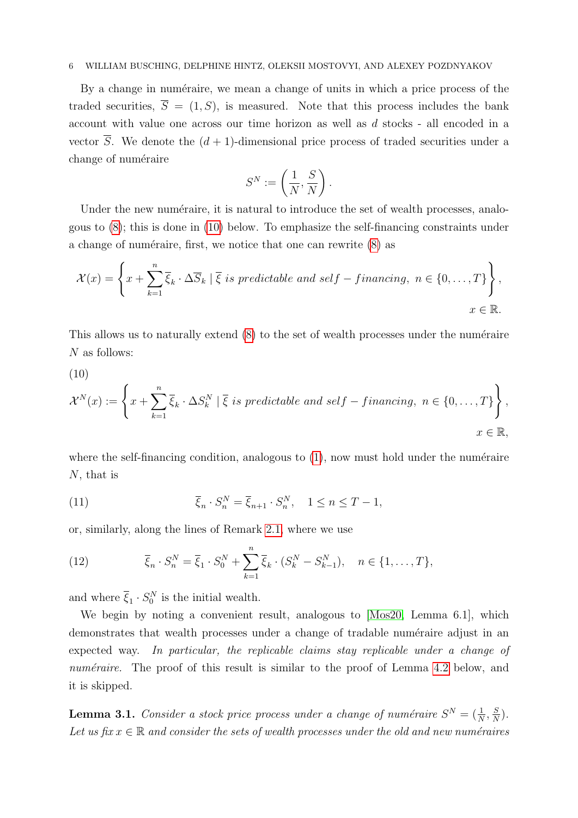By a change in numéraire, we mean a change of units in which a price process of the traded securities,  $\overline{S} = (1, S)$ , is measured. Note that this process includes the bank account with value one across our time horizon as well as d stocks - all encoded in a vector  $\overline{S}$ . We denote the  $(d + 1)$ -dimensional price process of traded securities under a change of numéraire

$$
S^N := \left(\frac{1}{N}, \frac{S}{N}\right).
$$

Under the new numéraire, it is natural to introduce the set of wealth processes, analogous to [\(8\)](#page-4-2); this is done in [\(10\)](#page-5-0) below. To emphasize the self-financing constraints under a change of numéraire, first, we notice that one can rewrite  $(8)$  as

<span id="page-5-0"></span>
$$
\mathcal{X}(x) = \left\{ x + \sum_{k=1}^{n} \overline{\xi}_k \cdot \Delta \overline{S}_k \mid \overline{\xi} \text{ is predictable and self-financing, } n \in \{0, \dots, T\} \right\},
$$
  

$$
x \in \mathbb{R}.
$$

This allows us to naturally extend  $(8)$  to the set of wealth processes under the numéraire N as follows:

(10)

$$
\mathcal{X}^N(x) := \left\{ x + \sum_{k=1}^n \overline{\xi}_k \cdot \Delta S_k^N \mid \overline{\xi} \text{ is predictable and self-financing, } n \in \{0, \dots, T\} \right\},
$$
  

$$
x \in \mathbb{R},
$$

where the self-financing condition, analogous to  $(1)$ , now must hold under the numéraire N, that is

<span id="page-5-1"></span>(11) 
$$
\overline{\xi}_n \cdot S_n^N = \overline{\xi}_{n+1} \cdot S_n^N, \quad 1 \le n \le T-1,
$$

or, similarly, along the lines of Remark [2.1,](#page-2-3) where we use

<span id="page-5-3"></span>(12) 
$$
\overline{\xi}_n \cdot S_n^N = \overline{\xi}_1 \cdot S_0^N + \sum_{k=1}^n \overline{\xi}_k \cdot (S_k^N - S_{k-1}^N), \quad n \in \{1, ..., T\},
$$

and where  $\overline{\xi}_1 \cdot S_0^N$  is the initial wealth.

We begin by noting a convenient result, analogous to [\[Mos20,](#page-19-6) Lemma 6.1], which demonstrates that wealth processes under a change of tradable numéraire adjust in an expected way. In particular, the replicable claims stay replicable under a change of numéraire. The proof of this result is similar to the proof of Lemma [4.2](#page-8-0) below, and it is skipped.

<span id="page-5-2"></span>**Lemma 3.1.** Consider a stock price process under a change of numéraire  $S^N = (\frac{1}{N}, \frac{S}{N})$  $\frac{S}{N}$ ). Let us fix  $x \in \mathbb{R}$  and consider the sets of wealth processes under the old and new numéraires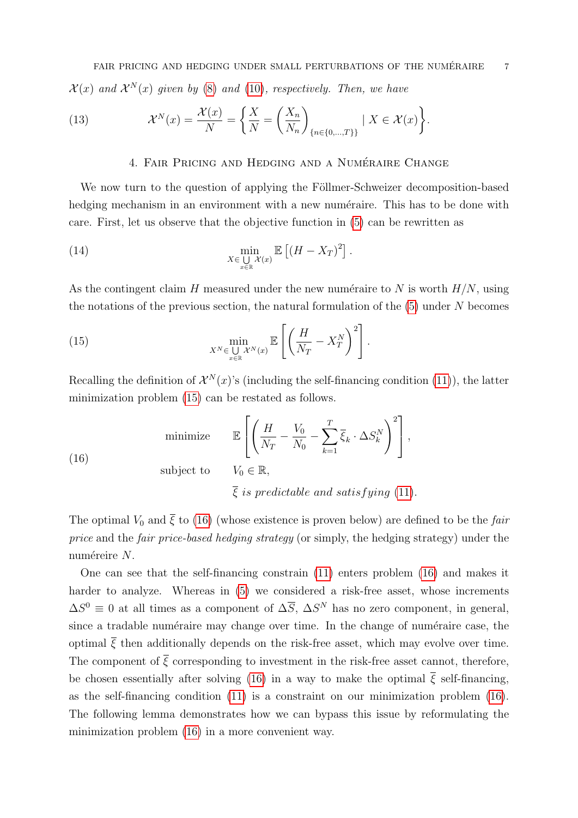(13) 
$$
\mathcal{X}^N(x) = \frac{\mathcal{X}(x)}{N} = \left\{ \frac{X}{N} = \left( \frac{X_n}{N_n} \right)_{\{n \in \{0, \dots, T\} \}} \mid X \in \mathcal{X}(x) \right\}.
$$

# <span id="page-6-3"></span>4. FAIR PRICING AND HEDGING AND A NUMÉRAIRE CHANGE

<span id="page-6-0"></span>We now turn to the question of applying the Föllmer-Schweizer decomposition-based hedging mechanism in an environment with a new numéraire. This has to be done with care. First, let us observe that the objective function in [\(5\)](#page-3-2) can be rewritten as

(14) 
$$
\min_{X \in \bigcup_{x \in \mathbb{R}} \mathcal{X}(x)} \mathbb{E} \left[ \left( H - X_T \right)^2 \right].
$$

As the contingent claim H measured under the new numéraire to N is worth  $H/N$ , using the notations of the previous section, the natural formulation of the  $(5)$  under N becomes

<span id="page-6-1"></span>(15) 
$$
\min_{X^N \in \bigcup_{x \in \mathbb{R}} \mathcal{X}^N(x)} \mathbb{E}\left[\left(\frac{H}{N_T} - X_T^N\right)^2\right].
$$

Recalling the definition of  $\mathcal{X}^N(x)$ 's (including the self-financing condition [\(11\)](#page-5-1)), the latter minimization problem [\(15\)](#page-6-1) can be restated as follows.

<span id="page-6-2"></span>(16)

\n
$$
\mathbb{E}\left[\left(\frac{H}{N_T} - \frac{V_0}{N_0} - \sum_{k=1}^T \overline{\xi}_k \cdot \Delta S_k^N\right)^2\right],
$$
\nsubject to

\n
$$
V_0 \in \mathbb{R},
$$
\n
$$
\overline{\xi} \text{ is predictable and satisfying (11)}.
$$

The optimal  $V_0$  and  $\bar{\xi}$  to [\(16\)](#page-6-2) (whose existence is proven below) are defined to be the fair price and the fair price-based hedging strategy (or simply, the hedging strategy) under the numéreire  $N$ .

One can see that the self-financing constrain [\(11\)](#page-5-1) enters problem [\(16\)](#page-6-2) and makes it harder to analyze. Whereas in [\(5\)](#page-3-2) we considered a risk-free asset, whose increments  $\Delta S^0 \equiv 0$  at all times as a component of  $\Delta \overline{S}$ ,  $\Delta S^N$  has no zero component, in general, since a tradable numéraire may change over time. In the change of numéraire case, the optimal  $\overline{\xi}$  then additionally depends on the risk-free asset, which may evolve over time. The component of  $\overline{\xi}$  corresponding to investment in the risk-free asset cannot, therefore, be chosen essentially after solving [\(16\)](#page-6-2) in a way to make the optimal  $\overline{\xi}$  self-financing, as the self-financing condition [\(11\)](#page-5-1) is a constraint on our minimization problem [\(16\)](#page-6-2). The following lemma demonstrates how we can bypass this issue by reformulating the minimization problem [\(16\)](#page-6-2) in a more convenient way.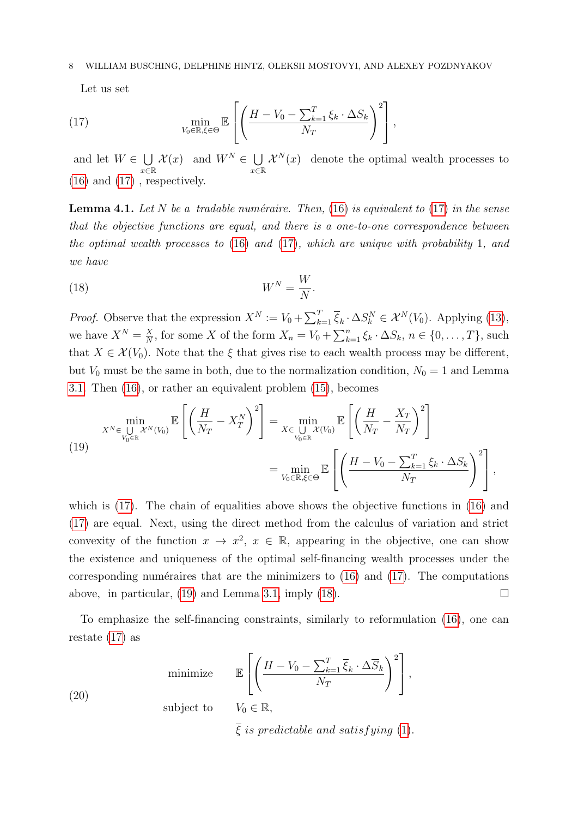<span id="page-7-0"></span>Let us set

(17) 
$$
\min_{V_0 \in \mathbb{R}, \xi \in \Theta} \mathbb{E}\left[\left(\frac{H - V_0 - \sum_{k=1}^T \xi_k \cdot \Delta S_k}{N_T}\right)^2\right],
$$

and let  $W \in \bigcup$ x∈R  $\mathcal{X}(x)$  and  $W^N \in \bigcup$ x∈R  $\mathcal{X}^N(x)$  denote the optimal wealth processes to  $(16)$  and  $(17)$ , respectively.

<span id="page-7-4"></span>**Lemma 4.1.** Let N be a tradable numéraire. Then, [\(16\)](#page-6-2) is equivalent to [\(17\)](#page-7-0) in the sense that the objective functions are equal, and there is a one-to-one correspondence between the optimal wealth processes to [\(16\)](#page-6-2) and [\(17\)](#page-7-0), which are unique with probability 1, and we have

<span id="page-7-2"></span>
$$
(18)\t\t\t W^N = \frac{W}{N}.
$$

*Proof.* Observe that the expression  $X^N := V_0 + \sum_{k=1}^T \overline{\xi}_k \cdot \Delta S_k^N \in \mathcal{X}^N(V_0)$ . Applying [\(13\)](#page-6-3), we have  $X^N = \frac{X}{N}$  $\frac{X}{N}$ , for some X of the form  $X_n = V_0 + \sum_{k=1}^n \xi_k \cdot \Delta S_k$ ,  $n \in \{0, \ldots, T\}$ , such that  $X \in \mathcal{X}(V_0)$ . Note that the  $\xi$  that gives rise to each wealth process may be different, but  $V_0$  must be the same in both, due to the normalization condition,  $N_0 = 1$  and Lemma [3.1.](#page-5-2) Then [\(16\)](#page-6-2), or rather an equivalent problem [\(15\)](#page-6-1), becomes

<span id="page-7-1"></span>(19)  

$$
x^{N} \in \bigcup_{V_0 \in \mathbb{R}} x^{N}(V_0) \mathbb{E} \left[ \left( \frac{H}{N_T} - X_T^N \right)^2 \right] = \min_{X \in \bigcup_{V_0 \in \mathbb{R}} x(V_0)} \mathbb{E} \left[ \left( \frac{H}{N_T} - \frac{X_T}{N_T} \right)^2 \right]
$$

$$
= \min_{V_0 \in \mathbb{R}, \xi \in \Theta} \mathbb{E} \left[ \left( \frac{H - V_0 - \sum_{k=1}^T \xi_k \cdot \Delta S_k}{N_T} \right)^2 \right],
$$

which is [\(17\)](#page-7-0). The chain of equalities above shows the objective functions in [\(16\)](#page-6-2) and [\(17\)](#page-7-0) are equal. Next, using the direct method from the calculus of variation and strict convexity of the function  $x \to x^2$ ,  $x \in \mathbb{R}$ , appearing in the objective, one can show the existence and uniqueness of the optimal self-financing wealth processes under the corresponding numéraires that are the minimizers to  $(16)$  and  $(17)$ . The computations above, in particular, [\(19\)](#page-7-1) and Lemma [3.1,](#page-5-2) imply [\(18\)](#page-7-2).

To emphasize the self-financing constraints, similarly to reformulation [\(16\)](#page-6-2), one can restate [\(17\)](#page-7-0) as

<span id="page-7-3"></span>
$$
\text{minimize} \qquad \mathbb{E}\left[\left(\frac{H - V_0 - \sum_{k=1}^T \overline{\xi}_k \cdot \Delta \overline{S}_k}{N_T}\right)^2\right],
$$
\n
$$
(20)
$$

subject to  $V_0 \in \mathbb{R}$ ,

 $\overline{\xi}$  is predictable and satisfying [\(1\)](#page-2-1).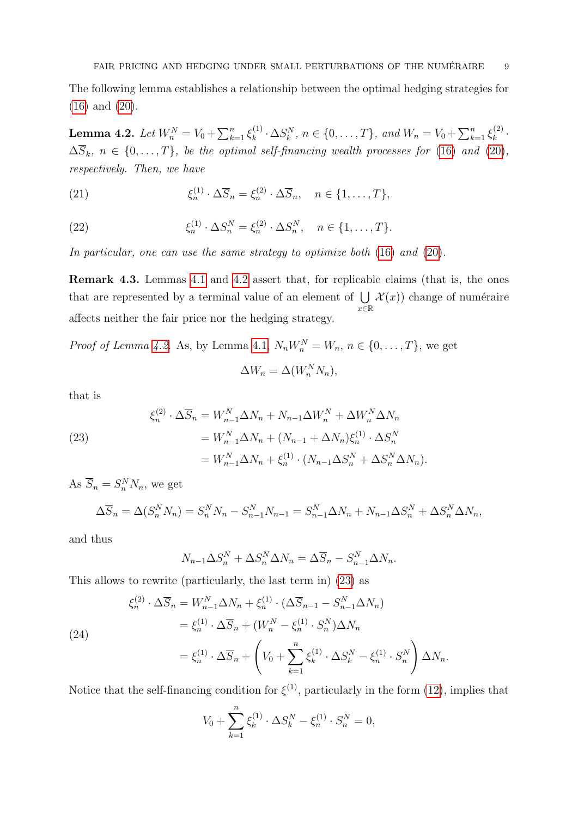The following lemma establishes a relationship between the optimal hedging strategies for [\(16\)](#page-6-2) and [\(20\)](#page-7-3).

<span id="page-8-0"></span> $\textbf{Lemma 4.2.} \: \: Let \: W^N_n = V_0 + \sum_{k=1}^n \xi^{(1)}_k$  $k_k^{(1)} \cdot \Delta S_k^N$ ,  $n \in \{0, ..., T\}$ , and  $W_n = V_0 + \sum_{k=1}^n \xi_k^{(2)}$  $\frac{k^{(2)}}{k}$ .  $\Delta \overline{S}_k$ ,  $n \in \{0, ..., T\}$ , be the optimal self-financing wealth processes for [\(16\)](#page-6-2) and [\(20\)](#page-7-3), respectively. Then, we have

<span id="page-8-3"></span>(21) 
$$
\xi_n^{(1)} \cdot \Delta \overline{S}_n = \xi_n^{(2)} \cdot \Delta \overline{S}_n, \quad n \in \{1, \dots, T\},
$$

(22) 
$$
\xi_n^{(1)} \cdot \Delta S_n^N = \xi_n^{(2)} \cdot \Delta S_n^N, \quad n \in \{1, ..., T\}.
$$

In particular, one can use the same strategy to optimize both  $(16)$  and  $(20)$ .

Remark 4.3. Lemmas [4.1](#page-7-4) and [4.2](#page-8-0) assert that, for replicable claims (that is, the ones that are represented by a terminal value of an element of  $\bigcup \mathcal{X}(x)$  change of numéraire x∈R affects neither the fair price nor the hedging strategy.

*Proof of Lemma [4.2.](#page-8-0)* As, by Lemma [4.1,](#page-7-4)  $N_n W_n^N = W_n$ ,  $n \in \{0, ..., T\}$ , we get

$$
\Delta W_n = \Delta(W_n^N N_n),
$$

that is

<span id="page-8-1"></span>(23)  
\n
$$
\xi_n^{(2)} \cdot \Delta \overline{S}_n = W_{n-1}^N \Delta N_n + N_{n-1} \Delta W_n^N + \Delta W_n^N \Delta N_n
$$
\n
$$
= W_{n-1}^N \Delta N_n + (N_{n-1} + \Delta N_n) \xi_n^{(1)} \cdot \Delta S_n^N
$$
\n
$$
= W_{n-1}^N \Delta N_n + \xi_n^{(1)} \cdot (N_{n-1} \Delta S_n^N + \Delta S_n^N \Delta N_n).
$$

<span id="page-8-2"></span>As  $\overline{S}_n = S_n^N N_n$ , we get

$$
\Delta \overline{S}_n = \Delta (S_n^N N_n) = S_n^N N_n - S_{n-1}^N N_{n-1} = S_{n-1}^N \Delta N_n + N_{n-1} \Delta S_n^N + \Delta S_n^N \Delta N_n,
$$

and thus

$$
N_{n-1}\Delta S_n^N + \Delta S_n^N \Delta N_n = \Delta \overline{S}_n - S_{n-1}^N \Delta N_n.
$$

This allows to rewrite (particularly, the last term in) [\(23\)](#page-8-1) as

(24)  
\n
$$
\xi_n^{(2)} \cdot \Delta \overline{S}_n = W_{n-1}^N \Delta N_n + \xi_n^{(1)} \cdot (\Delta \overline{S}_{n-1} - S_{n-1}^N \Delta N_n)
$$
\n
$$
= \xi_n^{(1)} \cdot \Delta \overline{S}_n + (W_n^N - \xi_n^{(1)} \cdot S_n^N) \Delta N_n
$$
\n
$$
= \xi_n^{(1)} \cdot \Delta \overline{S}_n + \left(V_0 + \sum_{k=1}^n \xi_k^{(1)} \cdot \Delta S_k^N - \xi_n^{(1)} \cdot S_n^N\right) \Delta N_n.
$$

Notice that the self-financing condition for  $\xi^{(1)}$ , particularly in the form [\(12\)](#page-5-3), implies that

$$
V_0 + \sum_{k=1}^n \xi_k^{(1)} \cdot \Delta S_k^N - \xi_n^{(1)} \cdot S_n^N = 0,
$$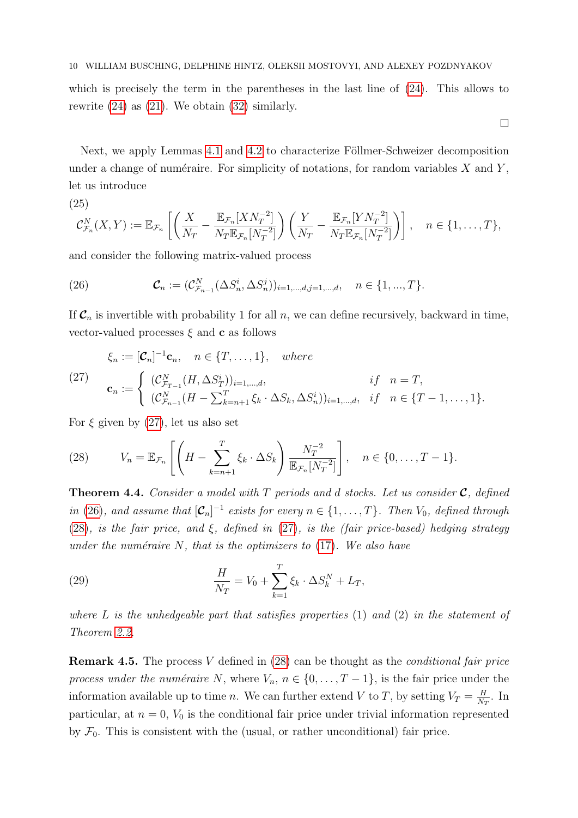which is precisely the term in the parentheses in the last line of  $(24)$ . This allows to rewrite  $(24)$  as  $(21)$ . We obtain  $(32)$  similarly.

 $\Box$ 

Next, we apply Lemmas [4.1](#page-7-4) and [4.2](#page-8-0) to characterize Föllmer-Schweizer decomposition under a change of numéraire. For simplicity of notations, for random variables  $X$  and  $Y$ , let us introduce

<span id="page-9-4"></span>(25)  

$$
\mathcal{C}_{\mathcal{F}_n}^N(X,Y) := \mathbb{E}_{\mathcal{F}_n} \left[ \left( \frac{X}{N_T} - \frac{\mathbb{E}_{\mathcal{F}_n}[X N_T^{-2}]}{N_T \mathbb{E}_{\mathcal{F}_n}[N_T^{-2}]} \right) \left( \frac{Y}{N_T} - \frac{\mathbb{E}_{\mathcal{F}_n}[Y N_T^{-2}]}{N_T \mathbb{E}_{\mathcal{F}_n}[N_T^{-2}]} \right) \right], \quad n \in \{1, \dots, T\},
$$

and consider the following matrix-valued process

<span id="page-9-1"></span>(26) 
$$
\mathcal{C}_n := (\mathcal{C}_{\mathcal{F}_{n-1}}^N(\Delta S_n^i, \Delta S_n^j))_{i=1,\dots,d,j=1,\dots,d}, \quad n \in \{1,\dots,T\}.
$$

If  $C_n$  is invertible with probability 1 for all n, we can define recursively, backward in time, vector-valued processes  $\xi$  and **c** as follows

<span id="page-9-0"></span>
$$
\xi_n := [\mathcal{C}_n]^{-1} \mathbf{c}_n, \quad n \in \{T, \dots, 1\}, \quad where
$$
\n
$$
(27) \quad \mathbf{c}_n := \begin{cases}\n(\mathcal{C}_{\mathcal{F}_{T-1}}^N(H, \Delta S_T^i))_{i=1,\dots,d}, & if \quad n = T, \\
(\mathcal{C}_{\mathcal{F}_{n-1}}^N(H - \sum_{k=n+1}^T \xi_k \cdot \Delta S_k, \Delta S_n^i))_{i=1,\dots,d}, & if \quad n \in \{T-1, \dots, 1\}.\n\end{cases}
$$

For  $\xi$  given by [\(27\)](#page-9-0), let us also set

<span id="page-9-2"></span>(28) 
$$
V_n = \mathbb{E}_{\mathcal{F}_n} \left[ \left( H - \sum_{k=n+1}^T \xi_k \cdot \Delta S_k \right) \frac{N_T^{-2}}{\mathbb{E}_{\mathcal{F}_n} [N_T^{-2}]} \right], \quad n \in \{0, \dots, T-1\}.
$$

<span id="page-9-3"></span>**Theorem 4.4.** Consider a model with  $T$  periods and d stocks. Let us consider  $C$ , defined in [\(26\)](#page-9-1), and assume that  $[\mathcal{C}_n]^{-1}$  exists for every  $n \in \{1, ..., T\}$ . Then  $V_0$ , defined through [\(28\)](#page-9-2), is the fair price, and  $\xi$ , defined in [\(27\)](#page-9-0), is the (fair price-based) hedging strategy under the numéraire  $N$ , that is the optimizers to  $(17)$ . We also have

<span id="page-9-5"></span>(29) 
$$
\frac{H}{N_T} = V_0 + \sum_{k=1}^{T} \xi_k \cdot \Delta S_k^N + L_T,
$$

where  $L$  is the unhedgeable part that satisfies properties  $(1)$  and  $(2)$  in the statement of Theorem [2.2.](#page-3-4)

Remark 4.5. The process V defined in [\(28\)](#page-9-2) can be thought as the conditional fair price process under the numéraire N, where  $V_n$ ,  $n \in \{0, \ldots, T-1\}$ , is the fair price under the information available up to time n. We can further extend V to T, by setting  $V_T = \frac{H}{N_c}$  $\frac{H}{N_T}$ . In particular, at  $n = 0$ ,  $V_0$  is the conditional fair price under trivial information represented by  $\mathcal{F}_0$ . This is consistent with the (usual, or rather unconditional) fair price.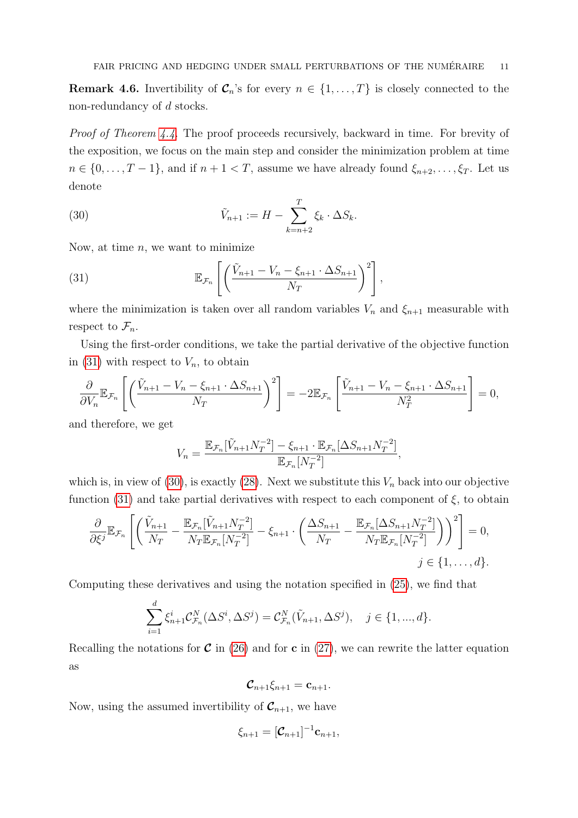**Remark 4.6.** Invertibility of  $\mathcal{C}_n$ 's for every  $n \in \{1, \ldots, T\}$  is closely connected to the non-redundancy of d stocks.

Proof of Theorem [4.4.](#page-9-3) The proof proceeds recursively, backward in time. For brevity of the exposition, we focus on the main step and consider the minimization problem at time  $n \in \{0, \ldots, T-1\}$ , and if  $n+1 < T$ , assume we have already found  $\xi_{n+2}, \ldots, \xi_T$ . Let us denote

<span id="page-10-1"></span>(30) 
$$
\tilde{V}_{n+1} := H - \sum_{k=n+2}^{T} \xi_k \cdot \Delta S_k.
$$

Now, at time  $n$ , we want to minimize

<span id="page-10-0"></span>(31) 
$$
\mathbb{E}_{\mathcal{F}_n}\left[\left(\frac{\tilde{V}_{n+1}-V_n-\xi_{n+1}\cdot\Delta S_{n+1}}{N_T}\right)^2\right],
$$

where the minimization is taken over all random variables  $V_n$  and  $\xi_{n+1}$  measurable with respect to  $\mathcal{F}_n$ .

Using the first-order conditions, we take the partial derivative of the objective function in [\(31\)](#page-10-0) with respect to  $V_n$ , to obtain

$$
\frac{\partial}{\partial V_n} \mathbb{E}_{\mathcal{F}_n} \left[ \left( \frac{\tilde{V}_{n+1} - V_n - \xi_{n+1} \cdot \Delta S_{n+1}}{N_T} \right)^2 \right] = -2 \mathbb{E}_{\mathcal{F}_n} \left[ \frac{\tilde{V}_{n+1} - V_n - \xi_{n+1} \cdot \Delta S_{n+1}}{N_T^2} \right] = 0,
$$

and therefore, we get

$$
V_n = \frac{\mathbb{E}_{\mathcal{F}_n}[\tilde{V}_{n+1}N_T^{-2}] - \xi_{n+1} \cdot \mathbb{E}_{\mathcal{F}_n}[\Delta S_{n+1}N_T^{-2}]}{\mathbb{E}_{\mathcal{F}_n}[N_T^{-2}]},
$$

which is, in view of [\(30\)](#page-10-1), is exactly [\(28\)](#page-9-2). Next we substitute this  $V_n$  back into our objective function [\(31\)](#page-10-0) and take partial derivatives with respect to each component of  $\xi$ , to obtain

$$
\frac{\partial}{\partial \xi^j} \mathbb{E}_{\mathcal{F}_n} \left[ \left( \frac{\tilde{V}_{n+1}}{N_T} - \frac{\mathbb{E}_{\mathcal{F}_n} [\tilde{V}_{n+1} N_T^{-2}]}{N_T \mathbb{E}_{\mathcal{F}_n} [N_T^{-2}]} - \xi_{n+1} \cdot \left( \frac{\Delta S_{n+1}}{N_T} - \frac{\mathbb{E}_{\mathcal{F}_n} [\Delta S_{n+1} N_T^{-2}]}{N_T \mathbb{E}_{\mathcal{F}_n} [N_T^{-2}]} \right) \right)^2 \right] = 0,
$$
  

$$
j \in \{1, \dots, d\}.
$$

Computing these derivatives and using the notation specified in [\(25\)](#page-9-4), we find that

$$
\sum_{i=1}^{d} \xi_{n+1}^{i} C_{\mathcal{F}_n}^{N}(\Delta S^i, \Delta S^j) = C_{\mathcal{F}_n}^{N}(\tilde{V}_{n+1}, \Delta S^j), \quad j \in \{1, ..., d\}.
$$

Recalling the notations for  $\mathcal C$  in [\(26\)](#page-9-1) and for c in [\(27\)](#page-9-0), we can rewrite the latter equation as

$$
\mathcal{C}_{n+1}\xi_{n+1}=\mathbf{c}_{n+1}.
$$

Now, using the assumed invertibility of  $\mathcal{C}_{n+1}$ , we have

$$
\xi_{n+1}=[\mathcal{C}_{n+1}]^{-1}\mathbf{c}_{n+1},
$$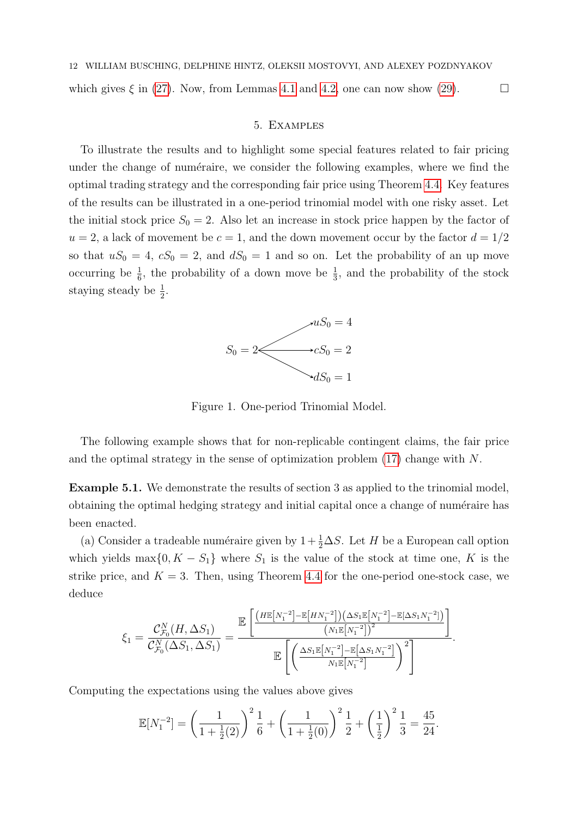<span id="page-11-0"></span>which gives  $\xi$  in [\(27\)](#page-9-0). Now, from Lemmas [4.1](#page-7-4) and [4.2,](#page-8-0) one can now show [\(29\)](#page-9-5).

#### 5. Examples

To illustrate the results and to highlight some special features related to fair pricing under the change of numéraire, we consider the following examples, where we find the optimal trading strategy and the corresponding fair price using Theorem [4.4.](#page-9-3) Key features of the results can be illustrated in a one-period trinomial model with one risky asset. Let the initial stock price  $S_0 = 2$ . Also let an increase in stock price happen by the factor of  $u = 2$ , a lack of movement be  $c = 1$ , and the down movement occur by the factor  $d = 1/2$ so that  $uS_0 = 4$ ,  $cS_0 = 2$ , and  $dS_0 = 1$  and so on. Let the probability of an up move occurring be  $\frac{1}{6}$ , the probability of a down move be  $\frac{1}{3}$ , and the probability of the stock staying steady be  $\frac{1}{2}$ .



Figure 1. One-period Trinomial Model.

The following example shows that for non-replicable contingent claims, the fair price and the optimal strategy in the sense of optimization problem [\(17\)](#page-7-0) change with N.

<span id="page-11-1"></span>Example 5.1. We demonstrate the results of section 3 as applied to the trinomial model, obtaining the optimal hedging strategy and initial capital once a change of numéraire has been enacted.

(a) Consider a tradeable numéraire given by  $1 + \frac{1}{2}\Delta S$ . Let H be a European call option which yields max $\{0, K - S_1\}$  where  $S_1$  is the value of the stock at time one, K is the strike price, and  $K = 3$ . Then, using Theorem [4.4](#page-9-3) for the one-period one-stock case, we deduce

$$
\xi_1 = \frac{\mathcal{C}_{\mathcal{F}_0}^N(H, \Delta S_1)}{\mathcal{C}_{\mathcal{F}_0}^N(\Delta S_1, \Delta S_1)} = \frac{\mathbb{E}\left[\frac{(H\mathbb{E}[N_1^{-2}]-\mathbb{E}[HN_1^{-2}])(\Delta S_1\mathbb{E}[N_1^{-2}]-\mathbb{E}[\Delta S_1N_1^{-2}])}{(N_1\mathbb{E}[N_1^{-2}])^2}\right]}{\mathbb{E}\left[\left(\frac{\Delta S_1\mathbb{E}[N_1^{-2}]-\mathbb{E}[\Delta S_1N_1^{-2}]}{N_1\mathbb{E}[N_1^{-2}]}\right)^2\right]}.
$$

Computing the expectations using the values above gives

$$
\mathbb{E}[N_1^{-2}] = \left(\frac{1}{1 + \frac{1}{2}(2)}\right)^2 \frac{1}{6} + \left(\frac{1}{1 + \frac{1}{2}(0)}\right)^2 \frac{1}{2} + \left(\frac{1}{\frac{1}{2}}\right)^2 \frac{1}{3} = \frac{45}{24}.
$$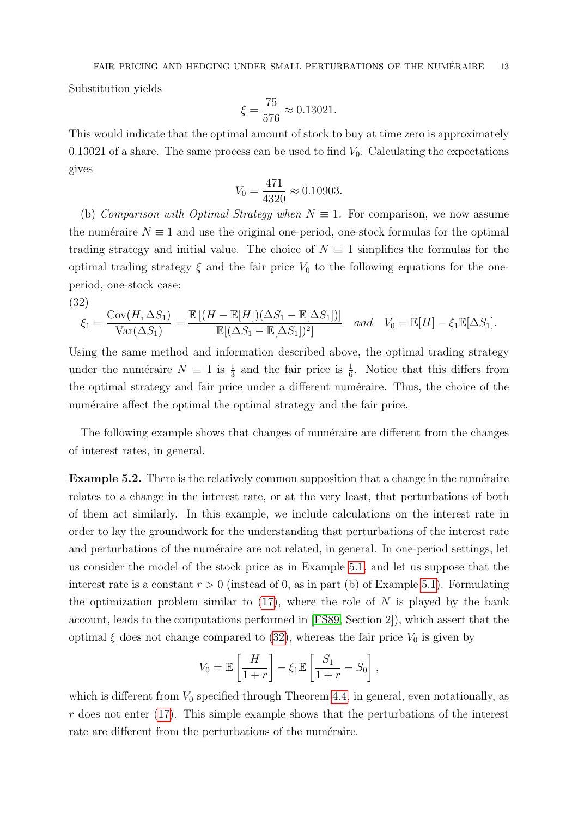Substitution yields

$$
\xi = \frac{75}{576} \approx 0.13021.
$$

This would indicate that the optimal amount of stock to buy at time zero is approximately 0.13021 of a share. The same process can be used to find  $V_0$ . Calculating the expectations gives

$$
V_0 = \frac{471}{4320} \approx 0.10903.
$$

(b) Comparison with Optimal Strategy when  $N \equiv 1$ . For comparison, we now assume the numéraire  $N \equiv 1$  and use the original one-period, one-stock formulas for the optimal trading strategy and initial value. The choice of  $N \equiv 1$  simplifies the formulas for the optimal trading strategy  $\xi$  and the fair price  $V_0$  to the following equations for the oneperiod, one-stock case:

(32)

<span id="page-12-0"></span>
$$
\xi_1 = \frac{\text{Cov}(H, \Delta S_1)}{\text{Var}(\Delta S_1)} = \frac{\mathbb{E}[(H - \mathbb{E}[H])(\Delta S_1 - \mathbb{E}[\Delta S_1])]}{\mathbb{E}[(\Delta S_1 - \mathbb{E}[\Delta S_1])^2]} \quad and \quad V_0 = \mathbb{E}[H] - \xi_1 \mathbb{E}[\Delta S_1].
$$

Using the same method and information described above, the optimal trading strategy under the numéraire  $N \equiv 1$  is  $\frac{1}{3}$  and the fair price is  $\frac{1}{6}$ . Notice that this differs from the optimal strategy and fair price under a different numéraire. Thus, the choice of the numeraire affect the optimal the optimal strategy and the fair price.

The following example shows that changes of numéraire are different from the changes of interest rates, in general.

**Example 5.2.** There is the relatively common supposition that a change in the numéraire relates to a change in the interest rate, or at the very least, that perturbations of both of them act similarly. In this example, we include calculations on the interest rate in order to lay the groundwork for the understanding that perturbations of the interest rate and perturbations of the numéraire are not related, in general. In one-period settings, let us consider the model of the stock price as in Example [5.1,](#page-11-1) and let us suppose that the interest rate is a constant  $r > 0$  (instead of 0, as in part (b) of Example [5.1\)](#page-11-1). Formulating the optimization problem similar to  $(17)$ , where the role of N is played by the bank account, leads to the computations performed in [\[FS89,](#page-18-0) Section 2]), which assert that the optimal  $\xi$  does not change compared to [\(32\)](#page-12-0), whereas the fair price  $V_0$  is given by

$$
V_0 = \mathbb{E}\left[\frac{H}{1+r}\right] - \xi_1 \mathbb{E}\left[\frac{S_1}{1+r} - S_0\right],
$$

which is different from  $V_0$  specified through Theorem [4.4,](#page-9-3) in general, even notationally, as  $r$  does not enter [\(17\)](#page-7-0). This simple example shows that the perturbations of the interest rate are different from the perturbations of the numéraire.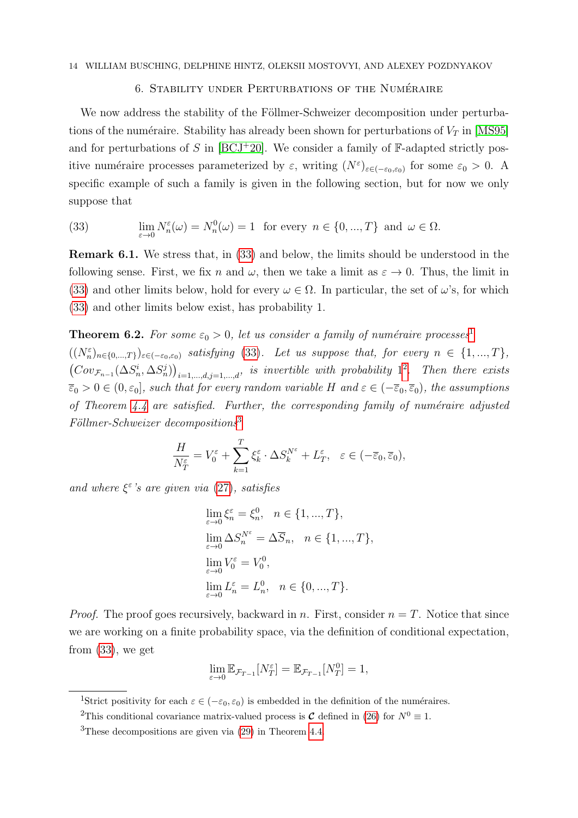## 6. STABILITY UNDER PERTURBATIONS OF THE NUMÉRAIRE

<span id="page-13-0"></span>We now address the stability of the Föllmer-Schweizer decomposition under perturbations of the numéraire. Stability has already been shown for perturbations of  $V_T$  in [\[MS95\]](#page-19-1) and for perturbations of S in  $[BCJ+20]$  $[BCJ+20]$ . We consider a family of  $\mathbb{F}\text{-adapted strictly pos-}$ itive numéraire processes parameterized by  $\varepsilon$ , writing  $(N^{\varepsilon})_{\varepsilon \in (-\varepsilon_0,\varepsilon_0)}$  for some  $\varepsilon_0 > 0$ . A specific example of such a family is given in the following section, but for now we only suppose that

<span id="page-13-1"></span>(33) 
$$
\lim_{\varepsilon \to 0} N_n^{\varepsilon}(\omega) = N_n^0(\omega) = 1 \text{ for every } n \in \{0, ..., T\} \text{ and } \omega \in \Omega.
$$

Remark 6.1. We stress that, in [\(33\)](#page-13-1) and below, the limits should be understood in the following sense. First, we fix n and  $\omega$ , then we take a limit as  $\varepsilon \to 0$ . Thus, the limit in [\(33\)](#page-13-1) and other limits below, hold for every  $\omega \in \Omega$ . In particular, the set of  $\omega$ 's, for which [\(33\)](#page-13-1) and other limits below exist, has probability 1.

<span id="page-13-5"></span>**Theorem 6.2.** For some  $\varepsilon_0 > 0$ , let us consider a family of numéraire processes<sup>[1](#page-13-2)</sup>  $((N_n^{\varepsilon})_{n\in\{0,\ldots,T\}})_{\varepsilon\in(-\varepsilon_0,\varepsilon_0)}$  satisfying [\(33\)](#page-13-1). Let us suppose that, for every  $n \in \{1,...,T\}$ ,  $(Cov_{\mathcal{F}_{n-1}}(\Delta S_n^i, \Delta S_n^j))_{i=1,\dots,d,j=1,\dots,d},$  is invertible with probability  $1^2$  $1^2$ . Then there exists  $\overline{\varepsilon}_0 > 0 \in (0, \varepsilon_0]$ , such that for every random variable H and  $\varepsilon \in (-\overline{\varepsilon}_0, \overline{\varepsilon}_0)$ , the assumptions of Theorem  $4.4$  are satisfied. Further, the corresponding family of numéraire adjusted  $Föllmer-Schweizer decompositions<sup>3</sup>$  $Föllmer-Schweizer decompositions<sup>3</sup>$  $Föllmer-Schweizer decompositions<sup>3</sup>$ 

$$
\frac{H}{N_T^{\varepsilon}} = V_0^{\varepsilon} + \sum_{k=1}^T \xi_k^{\varepsilon} \cdot \Delta S_k^{N^{\varepsilon}} + L_T^{\varepsilon}, \quad \varepsilon \in (-\overline{\varepsilon}_0, \overline{\varepsilon}_0),
$$

and where  $\xi^{\varepsilon}$ 's are given via [\(27\)](#page-9-0), satisfies

$$
\lim_{\varepsilon \to 0} \xi_n^{\varepsilon} = \xi_n^0, \quad n \in \{1, ..., T\},
$$
  
\n
$$
\lim_{\varepsilon \to 0} \Delta S_n^{N^{\varepsilon}} = \Delta \overline{S}_n, \quad n \in \{1, ..., T\},
$$
  
\n
$$
\lim_{\varepsilon \to 0} V_0^{\varepsilon} = V_0^0,
$$
  
\n
$$
\lim_{\varepsilon \to 0} L_n^{\varepsilon} = L_n^0, \quad n \in \{0, ..., T\}.
$$

*Proof.* The proof goes recursively, backward in n. First, consider  $n = T$ . Notice that since we are working on a finite probability space, via the definition of conditional expectation, from [\(33\)](#page-13-1), we get

$$
\lim_{\varepsilon \to 0} \mathbb{E}_{\mathcal{F}_{T-1}}[N_T^{\varepsilon}] = \mathbb{E}_{\mathcal{F}_{T-1}}[N_T^0] = 1,
$$

<span id="page-13-2"></span><sup>&</sup>lt;sup>1</sup>Strict positivity for each  $\varepsilon \in (-\varepsilon_0, \varepsilon_0)$  is embedded in the definition of the numéraires.

<span id="page-13-3"></span><sup>&</sup>lt;sup>2</sup>This conditional covariance matrix-valued process is **C** defined in [\(26\)](#page-9-1) for  $N^0 \equiv 1$ .

<span id="page-13-4"></span><sup>3</sup>These decompositions are given via [\(29\)](#page-9-5) in Theorem [4.4.](#page-9-3)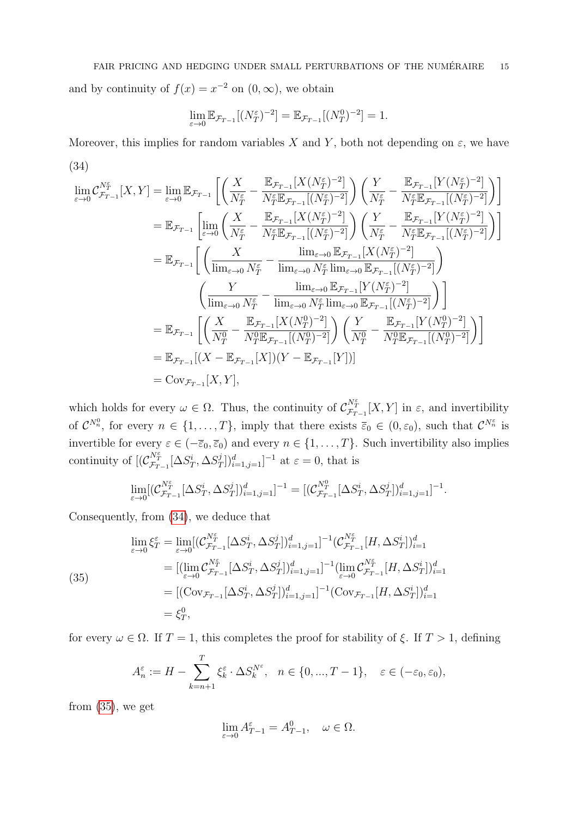and by continuity of  $f(x) = x^{-2}$  on  $(0, \infty)$ , we obtain

$$
\lim_{\varepsilon \to 0} \mathbb{E}_{\mathcal{F}_{T-1}}[(N_T^{\varepsilon})^{-2}] = \mathbb{E}_{\mathcal{F}_{T-1}}[(N_T^0)^{-2}] = 1.
$$

Moreover, this implies for random variables X and Y, both not depending on  $\varepsilon$ , we have (34)

<span id="page-14-0"></span>
$$
\lim_{\varepsilon \to 0} C_{\mathcal{F}_{T-1}}^{N_{\tau}^{\varepsilon}}[X, Y] = \lim_{\varepsilon \to 0} \mathbb{E}_{\mathcal{F}_{T-1}} \left[ \left( \frac{X}{N_{T}^{\varepsilon}} - \frac{\mathbb{E}_{\mathcal{F}_{T-1}}[X(N_{T}^{\varepsilon})^{-2}]}{N_{T}^{\varepsilon} \mathbb{E}_{\mathcal{F}_{T-1}}[(N_{T}^{\varepsilon})^{-2}]} \right) \left( \frac{Y}{N_{T}^{\varepsilon}} - \frac{\mathbb{E}_{\mathcal{F}_{T-1}}[Y(N_{T}^{\varepsilon})^{-2}]}{N_{T}^{\varepsilon} \mathbb{E}_{\mathcal{F}_{T-1}}[(N_{T}^{\varepsilon})^{-2}]} \right) \right]
$$
\n
$$
= \mathbb{E}_{\mathcal{F}_{T-1}} \left[ \lim_{\varepsilon \to 0} \left( \frac{X}{N_{T}^{\varepsilon}} - \frac{\mathbb{E}_{\mathcal{F}_{T-1}}[X(N_{T}^{\varepsilon})^{-2}]}{N_{T}^{\varepsilon} \mathbb{E}_{\mathcal{F}_{T-1}}[(N_{T}^{\varepsilon})^{-2}]} \right) \left( \frac{Y}{N_{T}^{\varepsilon}} - \frac{\mathbb{E}_{\mathcal{F}_{T-1}}[Y(N_{T}^{\varepsilon})^{-2}]}{N_{T}^{\varepsilon} \mathbb{E}_{\mathcal{F}_{T-1}}[(N_{T}^{\varepsilon})^{-2}]} \right) \right]
$$
\n
$$
= \mathbb{E}_{\mathcal{F}_{T-1}} \left[ \left( \frac{X}{\lim_{\varepsilon \to 0} N_{T}^{\varepsilon}} - \frac{\lim_{\varepsilon \to 0} \mathbb{E}_{\mathcal{F}_{T-1}}[X(N_{T}^{\varepsilon})^{-2}]}{ \lim_{\varepsilon \to 0} N_{T}^{\varepsilon} \lim_{\varepsilon \to 0} \mathbb{E}_{\mathcal{F}_{T-1}}[(N_{T}^{\varepsilon})^{-2}]} \right) \right]
$$
\n
$$
= \mathbb{E}_{\mathcal{F}_{T-1}} \left[ \left( \frac{X}{N_{T}^{0}} - \frac{\mathbb{E}_{\mathcal{F}_{T-1}}[X(N_{T}^{
$$

which holds for every  $\omega \in \Omega$ . Thus, the continuity of  $\mathcal{C}_{\mathcal{F}_{T-1}}^{\mathcal{N}_{T}^{\epsilon}}[X, Y]$  in  $\varepsilon$ , and invertibility of  $\mathcal{C}^{N_n^0}$ , for every  $n \in \{1,\ldots,T\}$ , imply that there exists  $\overline{\varepsilon}_0 \in (0,\varepsilon_0)$ , such that  $\mathcal{C}^{N_n^{\varepsilon}}$  is invertible for every  $\varepsilon \in (-\overline{\varepsilon}_0, \overline{\varepsilon}_0)$  and every  $n \in \{1, ..., T\}$ . Such invertibility also implies continuity of  $[(\mathcal{C}_{\mathcal{F}_{T-1}}^{N_T^{\varepsilon}}[\Delta S_T^i, \Delta S_T^j$  $\sum_{i=1}^{j}$   $\sum_{j=1}^{d}$  = 1 at  $\varepsilon = 0$ , that is

$$
\lim_{\varepsilon \to 0} [(\mathcal{C}_{\mathcal{F}_{T-1}}^{N_T^{\varepsilon}}[\Delta S_T^i, \Delta S_T^j])_{i=1, j=1}^d]^{-1} = [(\mathcal{C}_{\mathcal{F}_{T-1}}^{N_T^0}[\Delta S_T^i, \Delta S_T^j])_{i=1, j=1}^d]^{-1}.
$$

Consequently, from [\(34\)](#page-14-0), we deduce that

<span id="page-14-1"></span>(35)  
\n
$$
\lim_{\varepsilon \to 0} \xi_T^{\varepsilon} = \lim_{\varepsilon \to 0} [(\mathcal{C}_{\mathcal{F}_{T-1}}^{\mathcal{N}_T^{\varepsilon}} [\Delta S_T^i, \Delta S_T^j])_{i=1,j=1}^d]^{-1} (\mathcal{C}_{\mathcal{F}_{T-1}}^{\mathcal{N}_T^{\varepsilon}} [H, \Delta S_T^i])_{i=1}^d
$$
\n
$$
= [(\lim_{\varepsilon \to 0} \mathcal{C}_{\mathcal{F}_{T-1}}^{\mathcal{N}_T^{\varepsilon}} [\Delta S_T^i, \Delta S_T^j])_{i=1,j=1}^d]^{-1} (\lim_{\varepsilon \to 0} \mathcal{C}_{\mathcal{F}_{T-1}}^{\mathcal{N}_T^{\varepsilon}} [H, \Delta S_T^i])_{i=1}^d
$$
\n
$$
= [(\text{Cov}_{\mathcal{F}_{T-1}} [\Delta S_T^i, \Delta S_T^j])_{i=1,j=1}^d]^{-1} (\text{Cov}_{\mathcal{F}_{T-1}} [H, \Delta S_T^i])_{i=1}^d
$$
\n
$$
= \xi_T^0,
$$

for every  $\omega \in \Omega$ . If  $T = 1$ , this completes the proof for stability of  $\xi$ . If  $T > 1$ , defining

$$
A_n^{\varepsilon} := H - \sum_{k=n+1}^T \xi_k^{\varepsilon} \cdot \Delta S_k^{N^{\varepsilon}}, \quad n \in \{0, ..., T-1\}, \quad \varepsilon \in (-\varepsilon_0, \varepsilon_0),
$$

from  $(35)$ , we get

$$
\lim_{\varepsilon \to 0} A_{T-1}^{\varepsilon} = A_{T-1}^{0}, \quad \omega \in \Omega.
$$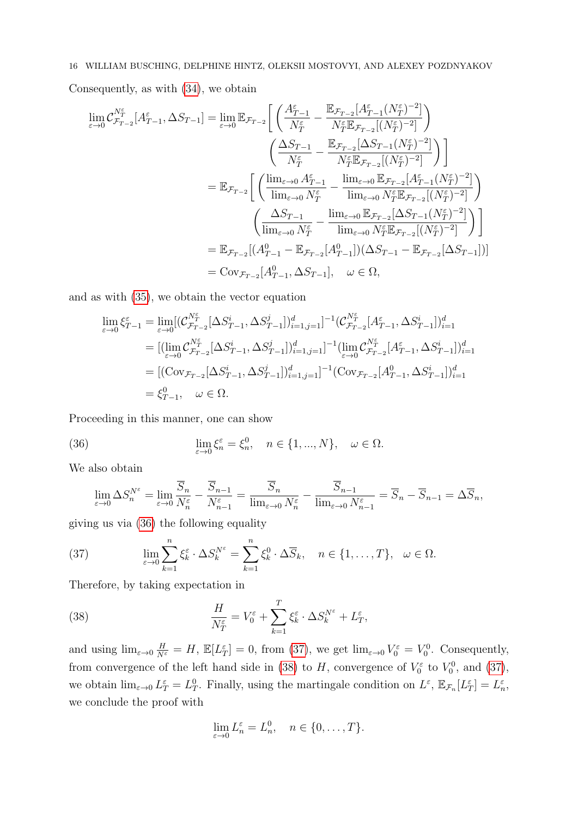Consequently, as with [\(34\)](#page-14-0), we obtain

$$
\lim_{\varepsilon \to 0} C_{\mathcal{F}_{T-2}}^{N_{\tau}^{\varepsilon}} [A_{T-1}^{\varepsilon}, \Delta S_{T-1}] = \lim_{\varepsilon \to 0} \mathbb{E}_{\mathcal{F}_{T-2}} \bigg[ \left( \frac{A_{T-1}^{\varepsilon}}{N_{T}^{\varepsilon}} - \frac{\mathbb{E}_{\mathcal{F}_{T-2}} [A_{T-1}^{\varepsilon}(N_{T}^{\varepsilon})^{-2}]}{N_{T}^{\varepsilon} \mathbb{E}_{\mathcal{F}_{T-2}} [(N_{T}^{\varepsilon})^{-2}]} \right) \bigg]
$$
\n
$$
= \mathbb{E}_{\mathcal{F}_{T-2}} \bigg[ \left( \frac{\lim_{\varepsilon \to 0} A_{T}^{\varepsilon}}{N_{T}^{\varepsilon}} - \frac{\lim_{\varepsilon \to 0} \mathbb{E}_{\mathcal{F}_{T-2}} [A_{T-1}^{\varepsilon}(N_{T}^{\varepsilon})^{-2}]}{N_{T}^{\varepsilon} \mathbb{E}_{\mathcal{F}_{T-2}} [(N_{T}^{\varepsilon})^{-2}]} \right) \bigg]
$$
\n
$$
= \mathbb{E}_{\mathcal{F}_{T-2}} \bigg[ \left( \frac{\lim_{\varepsilon \to 0} A_{T}^{\varepsilon}}{\lim_{\varepsilon \to 0} N_{T}^{\varepsilon}} - \frac{\lim_{\varepsilon \to 0} \mathbb{E}_{\mathcal{F}_{T-2}} [A_{T-1}^{\varepsilon}(N_{T}^{\varepsilon})^{-2}]}{\lim_{\varepsilon \to 0} N_{T}^{\varepsilon} \mathbb{E}_{\mathcal{F}_{T-2}} [(N_{T}^{\varepsilon})^{-2}]} \right) \bigg]
$$
\n
$$
= \mathbb{E}_{\mathcal{F}_{T-2}} [(A_{T-1}^{0} - \mathbb{E}_{\mathcal{F}_{T-2}} [A_{T-1}^{0}])(\Delta S_{T-1} - \mathbb{E}_{\mathcal{F}_{T-2}} [\Delta S_{T-1}])]
$$
\n
$$
= \text{Cov}_{\mathcal{F}_{T-2}} [A_{T-1}^{0}, \Delta S_{T-1}], \quad \omega \in \Omega,
$$

and as with [\(35\)](#page-14-1), we obtain the vector equation

$$
\lim_{\varepsilon \to 0} \xi_{T-1}^{\varepsilon} = \lim_{\varepsilon \to 0} [(\mathcal{C}_{\mathcal{F}_{T-2}}^{N_{T}^{\varepsilon}}[\Delta S_{T-1}^{i}, \Delta S_{T-1}^{j})]_{i=1,j=1}^{d}]^{-1} (\mathcal{C}_{\mathcal{F}_{T-2}}^{N_{T}^{\varepsilon}}[\mathcal{A}_{T-1}^{\varepsilon}, \Delta S_{T-1}^{i})]_{i=1}^{d}
$$
\n
$$
= [(\lim_{\varepsilon \to 0} \mathcal{C}_{\mathcal{F}_{T-2}}^{N_{T}^{\varepsilon}}[\Delta S_{T-1}^{i}, \Delta S_{T-1}^{j})]_{i=1,j=1}^{d}]^{-1} (\lim_{\varepsilon \to 0} \mathcal{C}_{\mathcal{F}_{T-2}}^{N_{T}^{\varepsilon}}[\mathcal{A}_{T-1}^{\varepsilon}, \Delta S_{T-1}^{i})]_{i=1}^{d}
$$
\n
$$
= [(\text{Cov}_{\mathcal{F}_{T-2}}[\Delta S_{T-1}^{i}, \Delta S_{T-1}^{j})]_{i=1,j=1}^{d}]^{-1} (\text{Cov}_{\mathcal{F}_{T-2}}[\mathcal{A}_{T-1}^{0}, \Delta S_{T-1}^{i})]_{i=1}^{d}
$$
\n
$$
= \xi_{T-1}^{0}, \quad \omega \in \Omega.
$$

Proceeding in this manner, one can show

(36) 
$$
\lim_{\varepsilon \to 0} \xi_n^{\varepsilon} = \xi_n^0, \quad n \in \{1, ..., N\}, \quad \omega \in \Omega.
$$

We also obtain

<span id="page-15-0"></span>
$$
\lim_{\varepsilon \to 0} \Delta S_n^{N^{\varepsilon}} = \lim_{\varepsilon \to 0} \frac{\overline{S}_n}{N_n^{\varepsilon}} - \frac{\overline{S}_{n-1}}{N_{n-1}^{\varepsilon}} = \frac{\overline{S}_n}{\lim_{\varepsilon \to 0} N_n^{\varepsilon}} - \frac{\overline{S}_{n-1}}{\lim_{\varepsilon \to 0} N_{n-1}^{\varepsilon}} = \overline{S}_n - \overline{S}_{n-1} = \Delta \overline{S}_n,
$$

giving us via [\(36\)](#page-15-0) the following equality

<span id="page-15-1"></span>(37) 
$$
\lim_{\varepsilon \to 0} \sum_{k=1}^{n} \xi_k^{\varepsilon} \cdot \Delta S_k^{N^{\varepsilon}} = \sum_{k=1}^{n} \xi_k^0 \cdot \Delta \overline{S}_k, \quad n \in \{1, ..., T\}, \quad \omega \in \Omega.
$$

Therefore, by taking expectation in

(38) 
$$
\frac{H}{N_T^{\varepsilon}} = V_0^{\varepsilon} + \sum_{k=1}^T \xi_k^{\varepsilon} \cdot \Delta S_k^{N^{\varepsilon}} + L_T^{\varepsilon},
$$

and using  $\lim_{\varepsilon \to 0} \frac{H}{N^{\varepsilon}} = H$ ,  $\mathbb{E}[L_T^{\varepsilon}] = 0$ , from [\(37\)](#page-15-1), we get  $\lim_{\varepsilon \to 0} V_0^{\varepsilon} = V_0^0$ . Consequently, from convergence of the left hand side in [\(38\)](#page-15-2) to H, convergence of  $V_0^{\varepsilon}$  to  $V_0^0$ , and [\(37\)](#page-15-1), we obtain  $\lim_{\varepsilon \to 0} L_T^{\varepsilon} = L_T^0$ . Finally, using the martingale condition on  $L^{\varepsilon}$ ,  $\mathbb{E}_{\mathcal{F}_n}[L_T^{\varepsilon}] = L_n^{\varepsilon}$ , we conclude the proof with

<span id="page-15-2"></span>
$$
\lim_{\varepsilon \to 0} L_n^{\varepsilon} = L_n^0, \quad n \in \{0, \dots, T\}.
$$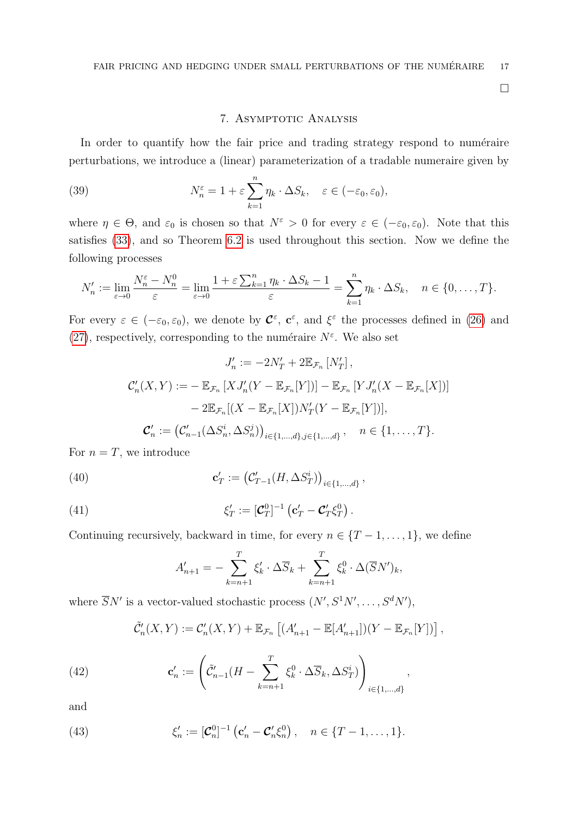$\Box$ 

## <span id="page-16-1"></span>7. ASYMPTOTIC ANALYSIS

<span id="page-16-0"></span>In order to quantify how the fair price and trading strategy respond to numéraire perturbations, we introduce a (linear) parameterization of a tradable numeraire given by

(39) 
$$
N_n^{\varepsilon} = 1 + \varepsilon \sum_{k=1}^n \eta_k \cdot \Delta S_k, \quad \varepsilon \in (-\varepsilon_0, \varepsilon_0),
$$

where  $\eta \in \Theta$ , and  $\varepsilon_0$  is chosen so that  $N^{\varepsilon} > 0$  for every  $\varepsilon \in (-\varepsilon_0, \varepsilon_0)$ . Note that this satisfies [\(33\)](#page-13-1), and so Theorem [6.2](#page-13-5) is used throughout this section. Now we define the following processes

$$
N'_n := \lim_{\varepsilon \to 0} \frac{N_n^{\varepsilon} - N_n^0}{\varepsilon} = \lim_{\varepsilon \to 0} \frac{1 + \varepsilon \sum_{k=1}^n \eta_k \cdot \Delta S_k - 1}{\varepsilon} = \sum_{k=1}^n \eta_k \cdot \Delta S_k, \quad n \in \{0, \dots, T\}.
$$

For every  $\varepsilon \in (-\varepsilon_0, \varepsilon_0)$ , we denote by  $\mathcal{C}^{\varepsilon}$ ,  $\mathbf{c}^{\varepsilon}$ , and  $\xi^{\varepsilon}$  the processes defined in [\(26\)](#page-9-1) and [\(27\)](#page-9-0), respectively, corresponding to the numéraire  $N^{\varepsilon}$ . We also set

$$
J'_n := -2N'_T + 2\mathbb{E}_{\mathcal{F}_n} [N'_T],
$$
  

$$
\mathcal{C}'_n(X, Y) := -\mathbb{E}_{\mathcal{F}_n} [X J'_n(Y - \mathbb{E}_{\mathcal{F}_n}[Y])] - \mathbb{E}_{\mathcal{F}_n} [Y J'_n(X - \mathbb{E}_{\mathcal{F}_n}[X])]
$$

$$
- 2\mathbb{E}_{\mathcal{F}_n} [(X - \mathbb{E}_{\mathcal{F}_n}[X]) N'_T(Y - \mathbb{E}_{\mathcal{F}_n}[Y])],
$$

$$
\mathcal{C}'_n := (\mathcal{C}'_{n-1}(\Delta S^i_n, \Delta S^j_n))_{i \in \{1, \dots, d\}, j \in \{1, \dots, d\}}, \quad n \in \{1, \dots, T\}.
$$

For  $n = T$ , we introduce

(40) 
$$
\mathbf{c}'_T := (\mathcal{C}'_{T-1}(H, \Delta S^i_T))_{i \in \{1, ..., d\}},
$$

(41) 
$$
\xi'_T := [\mathcal{C}_T^0]^{-1} \left( \mathbf{c}'_T - \mathcal{C}'_T \xi_T^0 \right).
$$

Continuing recursively, backward in time, for every  $n \in \{T-1,\ldots,1\}$ , we define

<span id="page-16-3"></span>
$$
A'_{n+1} = -\sum_{k=n+1}^{T} \xi'_k \cdot \Delta \overline{S}_k + \sum_{k=n+1}^{T} \xi_k^0 \cdot \Delta (\overline{S} N')_k,
$$

where  $\overline{S}N'$  is a vector-valued stochastic process  $(N', S^1 N', \ldots, S^d N')$ ,

$$
\tilde{\mathcal{C}}'_n(X,Y) := \mathcal{C}'_n(X,Y) + \mathbb{E}_{\mathcal{F}_n} \left[ (A'_{n+1} - \mathbb{E}[A'_{n+1}]) (Y - \mathbb{E}_{\mathcal{F}_n}[Y]) \right],
$$

,

(42) 
$$
\mathbf{c}'_n := \left( \tilde{\mathcal{C}}'_{n-1}(H - \sum_{k=n+1}^T \xi_k^0 \cdot \Delta \overline{S}_k, \Delta S_T^i) \right)_{i \in \{1, \dots, d\}}
$$

and

<span id="page-16-2"></span>(43) 
$$
\xi'_n := [\mathcal{C}_n^0]^{-1} ( \mathbf{c}'_n - \mathcal{C}'_n \xi_n^0 ), \quad n \in \{T-1, ..., 1\}.
$$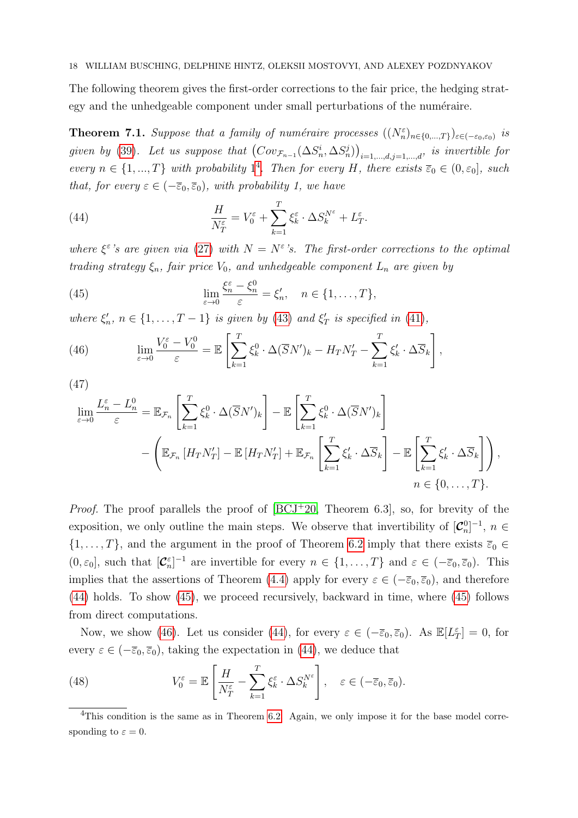The following theorem gives the first-order corrections to the fair price, the hedging strategy and the unhedgeable component under small perturbations of the numéraire.

**Theorem 7.1.** Suppose that a family of numéraire processes  $((N_n^{\varepsilon})_{n\in\{0,\ldots,T\}})_{\varepsilon\in(-\varepsilon_0,\varepsilon_0)}$  is given by [\(39\)](#page-16-1). Let us suppose that  $(Cov_{\mathcal{F}_{n-1}}(\Delta S_n^i, \Delta S_n^j))_{i=1,\dots,d,j=1,\dots,d}$ , is invertible for every  $n \in \{1, ..., T\}$  with probability  $1^4$  $1^4$ . Then for every H, there exists  $\overline{\varepsilon}_0 \in (0, \varepsilon_0]$ , such that, for every  $\varepsilon \in (-\overline{\varepsilon}_0, \overline{\varepsilon}_0)$ , with probability 1, we have

<span id="page-17-1"></span>(44) 
$$
\frac{H}{N_T^{\varepsilon}} = V_0^{\varepsilon} + \sum_{k=1}^T \xi_k^{\varepsilon} \cdot \Delta S_k^{N^{\varepsilon}} + L_T^{\varepsilon}.
$$

where  $\xi^{\varepsilon}$ 's are given via [\(27\)](#page-9-0) with  $N = N^{\varepsilon}$ 's. The first-order corrections to the optimal trading strategy  $\xi_n$ , fair price  $V_0$ , and unhedgeable component  $L_n$  are given by

<span id="page-17-2"></span>(45) 
$$
\lim_{\varepsilon \to 0} \frac{\xi_n^{\varepsilon} - \xi_n^0}{\varepsilon} = \xi_n', \quad n \in \{1, \dots, T\},
$$

where  $\xi'_n$ ,  $n \in \{1, ..., T-1\}$  is given by [\(43\)](#page-16-2) and  $\xi'_T$  is specified in [\(41\)](#page-16-3),

<span id="page-17-3"></span>(46) 
$$
\lim_{\varepsilon \to 0} \frac{V_0^{\varepsilon} - V_0^0}{\varepsilon} = \mathbb{E} \left[ \sum_{k=1}^T \xi_k^0 \cdot \Delta(\overline{S}N')_k - H_T N'_T - \sum_{k=1}^T \xi'_k \cdot \Delta \overline{S}_k \right],
$$

(47)

<span id="page-17-5"></span>
$$
\lim_{\varepsilon \to 0} \frac{L_n^{\varepsilon} - L_n^0}{\varepsilon} = \mathbb{E}_{\mathcal{F}_n} \left[ \sum_{k=1}^T \xi_k^0 \cdot \Delta(\overline{S}N')_k \right] - \mathbb{E} \left[ \sum_{k=1}^T \xi_k^0 \cdot \Delta(\overline{S}N')_k \right] \n- \left( \mathbb{E}_{\mathcal{F}_n} \left[ H_T N'_T \right] - \mathbb{E} \left[ H_T N'_T \right] + \mathbb{E}_{\mathcal{F}_n} \left[ \sum_{k=1}^T \xi_k' \cdot \Delta \overline{S}_k \right] - \mathbb{E} \left[ \sum_{k=1}^T \xi_k' \cdot \Delta \overline{S}_k \right] \right),
$$
\n
$$
n \in \{0, \dots, T\}.
$$

*Proof.* The proof parallels the proof of  $[BCJ^+20,$  $[BCJ^+20,$  Theorem 6.3, so, for brevity of the exposition, we only outline the main steps. We observe that invertibility of  $[\mathcal{C}_n^0]^{-1}$ ,  $n \in$  $\{1,\ldots,T\}$ , and the argument in the proof of Theorem [6.2](#page-13-5) imply that there exists  $\overline{\varepsilon}_0 \in$  $(0, \varepsilon_0]$ , such that  $[\mathcal{C}_n^{\varepsilon}]^{-1}$  are invertible for every  $n \in \{1, ..., T\}$  and  $\varepsilon \in (-\overline{\varepsilon}_0, \overline{\varepsilon}_0)$ . This implies that the assertions of Theorem [\(4.4\)](#page-9-3) apply for every  $\varepsilon \in (-\overline{\varepsilon}_0, \overline{\varepsilon}_0)$ , and therefore [\(44\)](#page-17-1) holds. To show [\(45\)](#page-17-2), we proceed recursively, backward in time, where [\(45\)](#page-17-2) follows from direct computations.

Now, we show [\(46\)](#page-17-3). Let us consider [\(44\)](#page-17-1), for every  $\varepsilon \in (-\overline{\varepsilon}_0, \overline{\varepsilon}_0)$ . As  $\mathbb{E}[L^{\varepsilon}_T] = 0$ , for every  $\varepsilon \in (-\overline{\varepsilon}_0, \overline{\varepsilon}_0)$ , taking the expectation in [\(44\)](#page-17-1), we deduce that

<span id="page-17-4"></span>(48) 
$$
V_0^{\varepsilon} = \mathbb{E}\left[\frac{H}{N_T^{\varepsilon}} - \sum_{k=1}^T \xi_k^{\varepsilon} \cdot \Delta S_k^{N^{\varepsilon}}\right], \quad \varepsilon \in (-\overline{\varepsilon}_0, \overline{\varepsilon}_0).
$$

<span id="page-17-0"></span><sup>4</sup>This condition is the same as in Theorem [6.2.](#page-13-5) Again, we only impose it for the base model corresponding to  $\varepsilon = 0$ .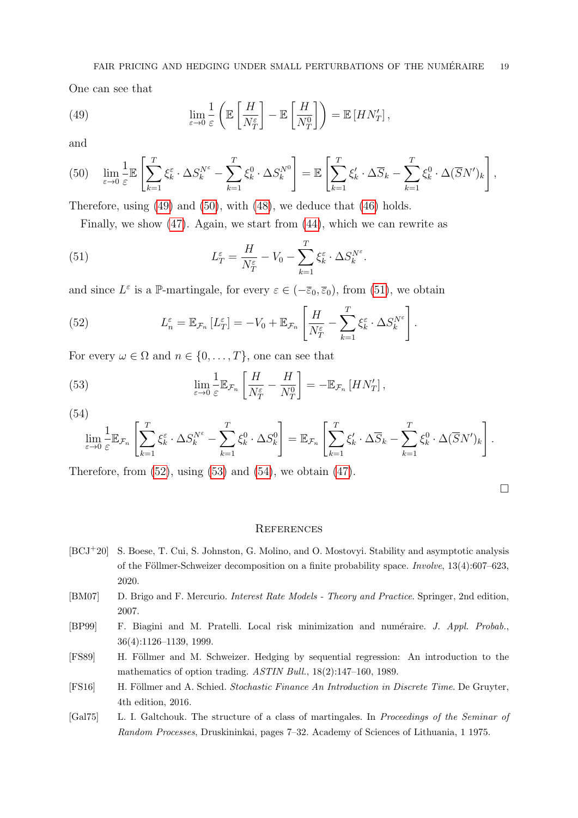One can see that

<span id="page-18-6"></span>(49) 
$$
\lim_{\varepsilon \to 0} \frac{1}{\varepsilon} \left( \mathbb{E} \left[ \frac{H}{N_T^{\varepsilon}} \right] - \mathbb{E} \left[ \frac{H}{N_T^0} \right] \right) = \mathbb{E} \left[ H N'_T \right],
$$

and

<span id="page-18-7"></span>
$$
(50) \quad \lim_{\varepsilon \to 0} \frac{1}{\varepsilon} \mathbb{E} \left[ \sum_{k=1}^T \xi_k^{\varepsilon} \cdot \Delta S_k^{N^{\varepsilon}} - \sum_{k=1}^T \xi_k^0 \cdot \Delta S_k^{N^0} \right] = \mathbb{E} \left[ \sum_{k=1}^T \xi_k' \cdot \Delta \overline{S}_k - \sum_{k=1}^T \xi_k^0 \cdot \Delta (\overline{S} N')_k \right],
$$

Therefore, using [\(49\)](#page-18-6) and [\(50\)](#page-18-7), with [\(48\)](#page-17-4), we deduce that [\(46\)](#page-17-3) holds.

<span id="page-18-8"></span>Finally, we show [\(47\)](#page-17-5). Again, we start from [\(44\)](#page-17-1), which we can rewrite as

(51) 
$$
L_T^{\varepsilon} = \frac{H}{N_T^{\varepsilon}} - V_0 - \sum_{k=1}^T \xi_k^{\varepsilon} \cdot \Delta S_k^{N^{\varepsilon}}.
$$

and since  $L^{\varepsilon}$  is a P-martingale, for every  $\varepsilon \in (-\overline{\varepsilon}_0, \overline{\varepsilon}_0)$ , from [\(51\)](#page-18-8), we obtain

<span id="page-18-9"></span>(52) 
$$
L_n^{\varepsilon} = \mathbb{E}_{\mathcal{F}_n} [L_T^{\varepsilon}] = -V_0 + \mathbb{E}_{\mathcal{F}_n} \left[ \frac{H}{N_T^{\varepsilon}} - \sum_{k=1}^T \xi_k^{\varepsilon} \cdot \Delta S_k^{N^{\varepsilon}} \right].
$$

For every  $\omega \in \Omega$  and  $n \in \{0, \ldots, T\}$ , one can see that

(53) 
$$
\lim_{\varepsilon \to 0} \frac{1}{\varepsilon} \mathbb{E}_{\mathcal{F}_n} \left[ \frac{H}{N_T^{\varepsilon}} - \frac{H}{N_T^0} \right] = -\mathbb{E}_{\mathcal{F}_n} \left[ H N'_T \right],
$$

(54)

<span id="page-18-11"></span><span id="page-18-10"></span>
$$
\lim_{\varepsilon \to 0} \frac{1}{\varepsilon} \mathbb{E}_{\mathcal{F}_n} \left[ \sum_{k=1}^T \xi_k^{\varepsilon} \cdot \Delta S_k^{N^{\varepsilon}} - \sum_{k=1}^T \xi_k^0 \cdot \Delta S_k^0 \right] = \mathbb{E}_{\mathcal{F}_n} \left[ \sum_{k=1}^T \xi_k' \cdot \Delta \overline{S}_k - \sum_{k=1}^T \xi_k^0 \cdot \Delta (\overline{S} N')_k \right].
$$

Therefore, from  $(52)$ , using  $(53)$  and  $(54)$ , we obtain  $(47)$ .

 $\Box$ 

#### **REFERENCES**

- <span id="page-18-5"></span>[BCJ+20] S. Boese, T. Cui, S. Johnston, G. Molino, and O. Mostovyi. Stability and asymptotic analysis of the Föllmer-Schweizer decomposition on a finite probability space. Involve,  $13(4):607-623$ , 2020.
- <span id="page-18-1"></span>[BM07] D. Brigo and F. Mercurio. Interest Rate Models - Theory and Practice. Springer, 2nd edition, 2007.
- <span id="page-18-2"></span>[BP99] F. Biagini and M. Pratelli. Local risk minimization and numéraire. J. Appl. Probab., 36(4):1126–1139, 1999.
- <span id="page-18-0"></span>[FS89] H. Föllmer and M. Schweizer. Hedging by sequential regression: An introduction to the mathematics of option trading. ASTIN Bull., 18(2):147–160, 1989.
- <span id="page-18-3"></span>[FS16] H. Föllmer and A. Schied. Stochastic Finance An Introduction in Discrete Time. De Gruyter, 4th edition, 2016.
- <span id="page-18-4"></span>[Gal75] L. I. Galtchouk. The structure of a class of martingales. In Proceedings of the Seminar of Random Processes, Druskininkai, pages 7–32. Academy of Sciences of Lithuania, 1 1975.